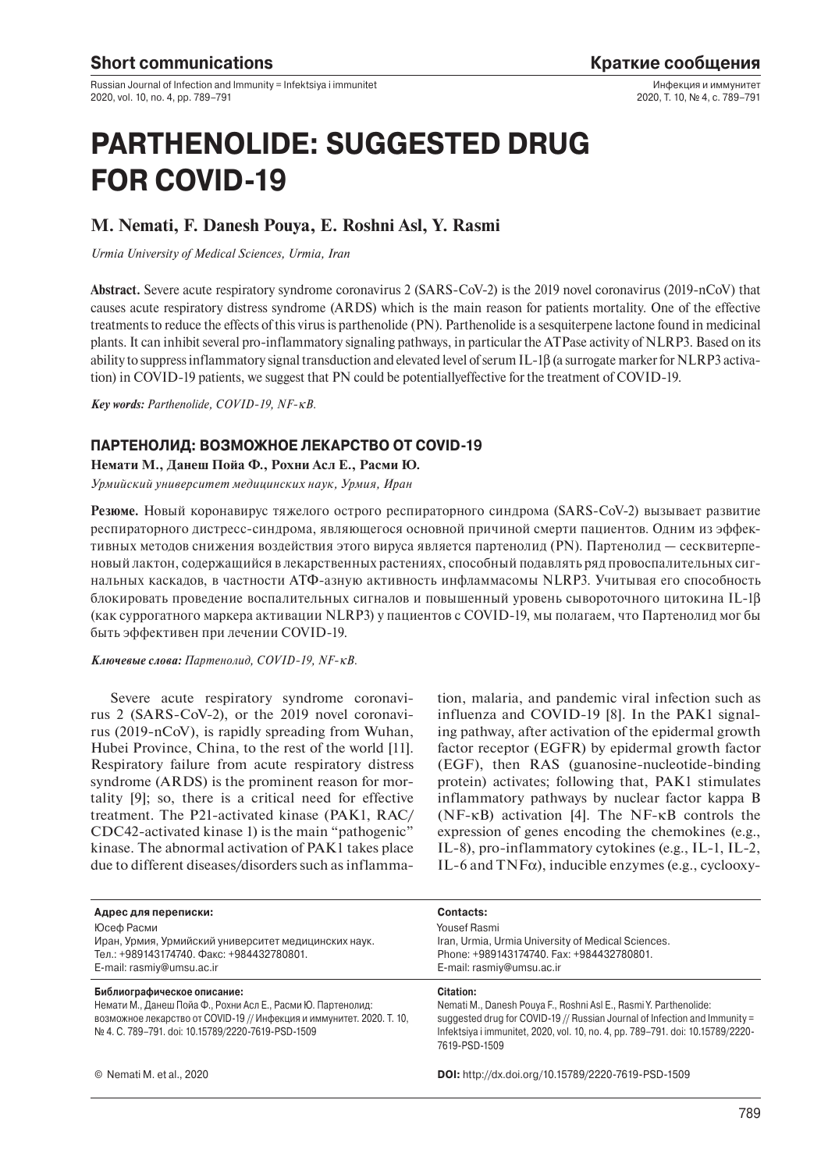Russian Journal of Infection and Immunity = Infektsiya i immunitet 2020, vol. 10, no. 4, pp. 789–791

Инфекция и иммунитет 2020, Т. 10, № 4, с. 789–791

# **PARTHENOLIDE: SUGGESTED DRUG FOR COVID-19**

## **M. Nemati, F. Danesh Pouya, E. Roshni Asl, Y. Rasmi**

*Urmia University of Medical Sciences, Urmia, Iran*

**Abstract.** Severe acute respiratory syndrome coronavirus 2 (SARS-CoV-2) is the 2019 novel coronavirus (2019-nCoV) that causes acute respiratory distress syndrome (ARDS) which is the main reason for patients mortality. One of the effective treatments to reduce the effects of this virus is parthenolide (PN). Parthenolide is a sesquiterpene lactone found in medicinal plants. It can inhibit several pro-inflammatory signaling pathways, in particular the ATPase activity of NLRP3. Based on its ability to suppress inflammatory signal transduction and elevated level of serum IL-1β (a surrogate marker for NLRP3 activation) in COVID-19 patients, we suggest that PN could be potentiallyeffective for the treatment of COVID-19.

*Key words: Parthenolide, COVID-19, NF-*κ*B.*

### **ПАРТЕНОЛИД: ВОЗМОЖНОЕ ЛЕКАРСТВО ОТ COVID-19**

**Немати М., Данеш Пойа Ф., Рохни Асл Е., Расми Ю.**

*Урмийский университет медицинских наук, Урмия, Иран*

**Резюме.** Новый коронавирус тяжелого острого респираторного синдрома (SARS-CoV-2) вызывает развитие респираторного дистресс-синдрома, являющегося основной причиной смерти пациентов. Одним из эффективных методов снижения воздействия этого вируса является партенолид (PN). Партенолид — сесквитерпеновый лактон, содержащийся в лекарственных растениях, способный подавлять ряд провоспалительных сигнальных каскадов, в частности АТФ-азную активность инфламмасомы NLRP3. Учитывая его способность блокировать проведение воспалительных сигналов и повышенный уровень сывороточного цитокина IL-1β (как суррогатного маркера активации NLRP3) у пациентов с COVID-19, мы полагаем, что Партенолид мог бы быть эффективен при лечении COVID-19.

*Ключевые слова: Партенолид, COVID-19, NF-*κ*B.*

Severe acute respiratory syndrome coronavirus 2 (SARS-CoV-2), or the 2019 novel coronavirus (2019-nCoV), is rapidly spreading from Wuhan, Hubei Province, China, to the rest of the world [11]. Respiratory failure from acute respiratory distress syndrome (ARDS) is the prominent reason for mortality [9]; so, there is a critical need for effective treatment. The P21-activated kinase (PAK1, RAC/ CDC42-activated kinase 1) is the main "pathogenic" kinase. The abnormal activation of PAK1 takes place due to different diseases/disorders such as inflammation, malaria, and pandemic viral infection such as influenza and COVID-19 [8]. In the PAK1 signaling pathway, after activation of the epidermal growth factor receptor (EGFR) by epidermal growth factor (EGF), then RAS (guanosine-nucleotide-binding protein) activates; following that, PAK1 stimulates inflammatory pathways by nuclear factor kappa B (NF-κB) activation [4]. The NF-κB controls the expression of genes encoding the chemokines (e.g., IL-8), pro-inflammatory cytokines (e.g., IL-1, IL-2, IL-6 and  $TNF\alpha$ ), inducible enzymes (e.g., cyclooxy-

| Адрес для переписки:                                                                                                                                                                                                       | Contacts:                                                                                                                                                                                                                                                       |
|----------------------------------------------------------------------------------------------------------------------------------------------------------------------------------------------------------------------------|-----------------------------------------------------------------------------------------------------------------------------------------------------------------------------------------------------------------------------------------------------------------|
| Юсеф Расми                                                                                                                                                                                                                 | Yousef Rasmi                                                                                                                                                                                                                                                    |
| Иран, Урмия, Урмийский университет медицинских наук.                                                                                                                                                                       | Iran, Urmia, Urmia University of Medical Sciences.                                                                                                                                                                                                              |
| Тел.: +989143174740. Факс: +984432780801.                                                                                                                                                                                  | Phone: +989143174740. Fax: +984432780801.                                                                                                                                                                                                                       |
| E-mail: rasmiy@umsu.ac.ir                                                                                                                                                                                                  | E-mail: rasmiy@umsu.ac.ir                                                                                                                                                                                                                                       |
| Библиографическое описание:<br>Немати М., Данеш Пойа Ф., Рохни Асл Е., Расми Ю. Партенолид:<br>возможное лекарство от COVID-19 // Инфекция и иммунитет. 2020. Т. 10,<br>No 4. C. 789-791. doi: 10.15789/2220-7619-PSD-1509 | Citation:<br>Nemati M., Danesh Pouya F., Roshni Asl E., Rasmi Y. Parthenolide:<br>suggested drug for COVID-19 // Russian Journal of Infection and Immunity =<br>Infektsiya i immunitet, 2020, vol. 10, no. 4, pp. 789–791. doi: 10.15789/2220-<br>7619-PSD-1509 |
| © Nemati M. et al., 2020                                                                                                                                                                                                   | <b>DOI:</b> http://dx.doi.org/10.15789/2220-7619-PSD-1509                                                                                                                                                                                                       |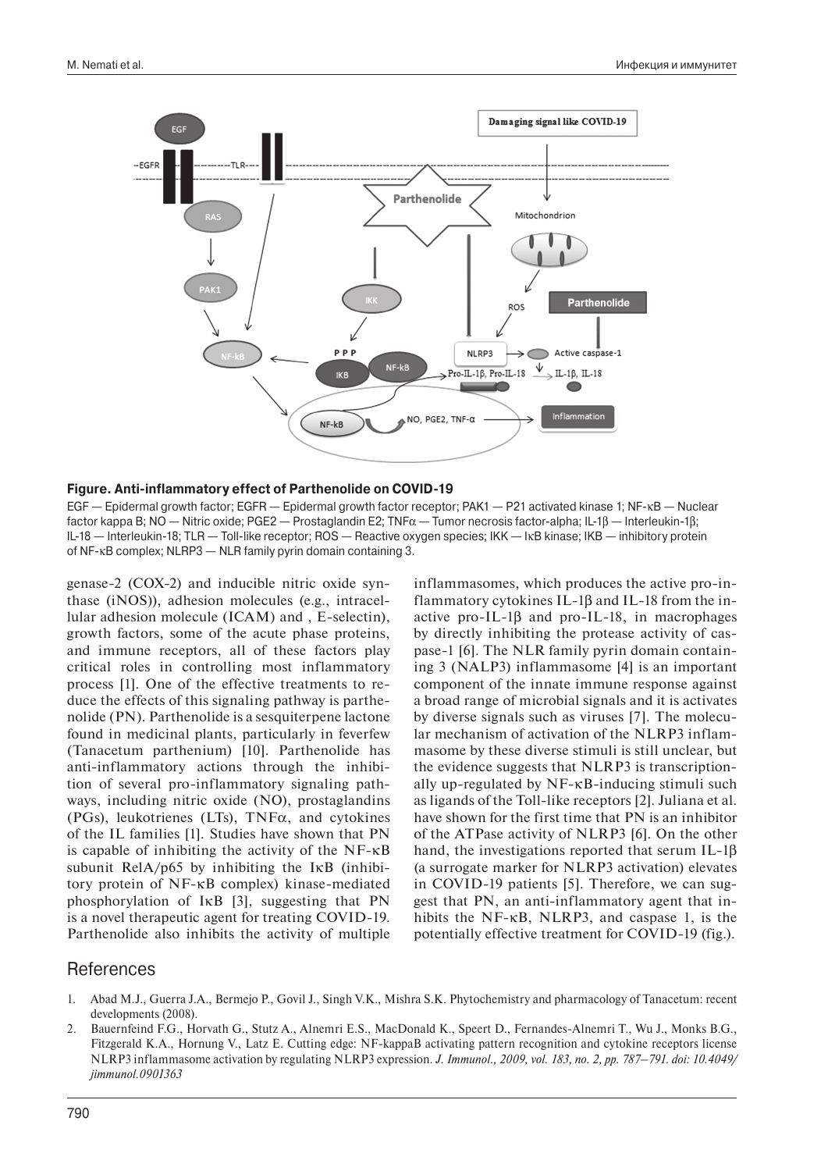

#### **Figure. Anti-inflammatory effect of Parthenolide on COVID-19**

EGF — Epidermal growth factor; EGFR — Epidermal growth factor receptor; PAK1 — P21 activated kinase 1; NF-κB — Nuclear factor kappa B; NO — Nitric oxide; PGE2 — Prostaglandin E2; TNFα — Tumor necrosis factor-alpha; IL-1β — Interleukin-1β; IL-18 — Interleukin-18; TLR — Toll-like receptor; ROS — Reactive oxygen species; IKK — IκB kinase; IKB — inhibitory protein of NF-κB complex; NLRP3 — NLR family pyrin domain containing 3.

genase-2 (COX-2) and inducible nitric oxide synthase (iNOS)), adhesion molecules (e.g., intracellular adhesion molecule (ICAM) and , E-selectin), growth factors, some of the acute phase proteins, and immune receptors, all of these factors play critical roles in controlling most inflammatory process [1]. One of the effective treatments to reduce the effects of this signaling pathway is parthenolide (PN). Parthenolide is a sesquiterpene lactone found in medicinal plants, particularly in feverfew (Tanacetum parthenium) [10]. Parthenolide has anti-inflammatory actions through the inhibition of several pro-inflammatory signaling pathways, including nitric oxide (NO), prostaglandins (PGs), leukotrienes (LTs),  $TNF\alpha$ , and cytokines of the IL families [1]. Studies have shown that PN is capable of inhibiting the activity of the NF-κB subunit RelA/ $p65$  by inhibiting the I $\kappa$ B (inhibitory protein of NF-κB complex) kinase-mediated phosphorylation of IκB [3], suggesting that PN is a novel therapeutic agent for treating COVID-19. Parthenolide also inhibits the activity of multiple

inflammasomes, which produces the active pro-inflammatory cytokines IL-1β and IL-18 from the inactive pro-IL-1β and pro-IL-18, in macrophages by directly inhibiting the protease activity of caspase-1 [6]. The NLR family pyrin domain containing 3 (NALP3) inflammasome [4] is an important component of the innate immune response against a broad range of microbial signals and it is activates by diverse signals such as viruses [7]. The molecular mechanism of activation of the NLRP3 inflammasome by these diverse stimuli is still unclear, but the evidence suggests that NLRP3 is transcriptionally up-regulated by NF-κB-inducing stimuli such as ligands of the Toll-like receptors [2]. Juliana et al. have shown for the first time that PN is an inhibitor of the ATPase activity of NLRP3 [6]. On the other hand, the investigations reported that serum IL-1β (a surrogate marker for NLRP3 activation) elevates in COVID-19 patients [5]. Therefore, we can suggest that PN, an anti-inflammatory agent that inhibits the NF-κB, NLRP3, and caspase 1, is the potentially effective treatment for COVID-19 (fig.).

## References

- 1. Abad M.J., Guerra J.A., Bermejo P., Govil J., Singh V.K., Mishra S.K. Phytochemistry and pharmacology of Tanacetum: recent developments (2008).
- 2. Bauernfeind F.G., Horvath G., Stutz A., Alnemri E.S., MacDonald K., Speert D., Fernandes-Alnemri T., Wu J., Monks B.G., Fitzgerald K.A., Hornung V., Latz E. Cutting edge: NF-kappaB activating pattern recognition and cytokine receptors license NLRP3 inflammasome activation by regulating NLRP3 expression. *J. Immunol., 2009, vol. 183, no. 2, pp. 787–791. doi: 10.4049/ jimmunol.0901363*